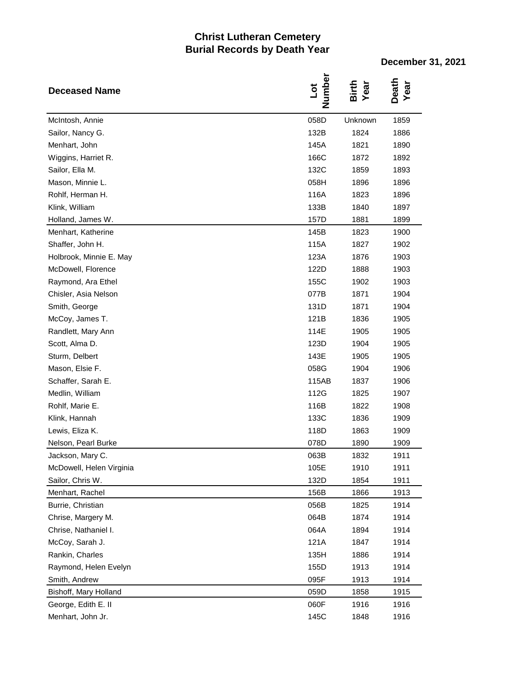## **Christ Lutheran Cemetery Burial Records by Death Year**

**December 31, 2021**

| <b>Deceased Name</b>     | Numbe<br>$\overline{\mathsf{Lot}}$ | Birth<br>Year | Death<br>Year |
|--------------------------|------------------------------------|---------------|---------------|
| McIntosh, Annie          | 058D                               | Unknown       | 1859          |
| Sailor, Nancy G.         | 132B                               | 1824          | 1886          |
| Menhart, John            | 145A                               | 1821          | 1890          |
| Wiggins, Harriet R.      | 166C                               | 1872          | 1892          |
| Sailor, Ella M.          | 132C                               | 1859          | 1893          |
| Mason, Minnie L.         | 058H                               | 1896          | 1896          |
| Rohlf, Herman H.         | 116A                               | 1823          | 1896          |
| Klink, William           | 133B                               | 1840          | 1897          |
| Holland, James W.        | 157D                               | 1881          | 1899          |
| Menhart, Katherine       | 145B                               | 1823          | 1900          |
| Shaffer, John H.         | 115A                               | 1827          | 1902          |
| Holbrook, Minnie E. May  | 123A                               | 1876          | 1903          |
| McDowell, Florence       | 122D                               | 1888          | 1903          |
| Raymond, Ara Ethel       | 155C                               | 1902          | 1903          |
| Chisler, Asia Nelson     | 077B                               | 1871          | 1904          |
| Smith, George            | 131D                               | 1871          | 1904          |
| McCoy, James T.          | 121B                               | 1836          | 1905          |
| Randlett, Mary Ann       | 114E                               | 1905          | 1905          |
| Scott, Alma D.           | 123D                               | 1904          | 1905          |
| Sturm, Delbert           | 143E                               | 1905          | 1905          |
| Mason, Elsie F.          | 058G                               | 1904          | 1906          |
| Schaffer, Sarah E.       | 115AB                              | 1837          | 1906          |
| Medlin, William          | 112G                               | 1825          | 1907          |
| Rohlf, Marie E.          | 116B                               | 1822          | 1908          |
| Klink, Hannah            | 133C                               | 1836          | 1909          |
| Lewis, Eliza K.          | 118D                               | 1863          | 1909          |
| Nelson, Pearl Burke      | 078D                               | 1890          | 1909          |
| Jackson, Mary C.         | 063B                               | 1832          | 1911          |
| McDowell, Helen Virginia | 105E                               | 1910          | 1911          |
| Sailor, Chris W.         | 132D                               | 1854          | 1911          |
| Menhart, Rachel          | 156B                               | 1866          | 1913          |
| Burrie, Christian        | 056B                               | 1825          | 1914          |
| Chrise, Margery M.       | 064B                               | 1874          | 1914          |
| Chrise, Nathaniel I.     | 064A                               | 1894          | 1914          |
| McCoy, Sarah J.          | 121A                               | 1847          | 1914          |
| Rankin, Charles          | 135H                               | 1886          | 1914          |
| Raymond, Helen Evelyn    | 155D                               | 1913          | 1914          |
| Smith, Andrew            | 095F                               | 1913          | 1914          |
| Bishoff, Mary Holland    | 059D                               | 1858          | 1915          |
| George, Edith E. II      | 060F                               | 1916          | 1916          |
| Menhart, John Jr.        | 145C                               | 1848          | 1916          |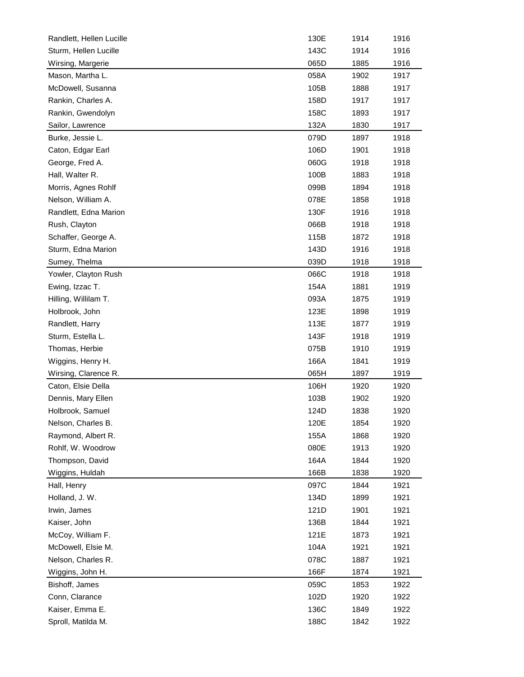| Randlett, Hellen Lucille | 130E | 1914 | 1916 |
|--------------------------|------|------|------|
| Sturm, Hellen Lucille    | 143C | 1914 | 1916 |
| Wirsing, Margerie        | 065D | 1885 | 1916 |
| Mason, Martha L.         | 058A | 1902 | 1917 |
| McDowell, Susanna        | 105B | 1888 | 1917 |
| Rankin, Charles A.       | 158D | 1917 | 1917 |
| Rankin, Gwendolyn        | 158C | 1893 | 1917 |
| Sailor, Lawrence         | 132A | 1830 | 1917 |
| Burke, Jessie L.         | 079D | 1897 | 1918 |
| Caton, Edgar Earl        | 106D | 1901 | 1918 |
| George, Fred A.          | 060G | 1918 | 1918 |
| Hall, Walter R.          | 100B | 1883 | 1918 |
| Morris, Agnes Rohlf      | 099B | 1894 | 1918 |
| Nelson, William A.       | 078E | 1858 | 1918 |
| Randlett, Edna Marion    | 130F | 1916 | 1918 |
| Rush, Clayton            | 066B | 1918 | 1918 |
| Schaffer, George A.      | 115B | 1872 | 1918 |
| Sturm, Edna Marion       | 143D | 1916 | 1918 |
| Sumey, Thelma            | 039D | 1918 | 1918 |
| Yowler, Clayton Rush     | 066C | 1918 | 1918 |
| Ewing, Izzac T.          | 154A | 1881 | 1919 |
| Hilling, Willilam T.     | 093A | 1875 | 1919 |
| Holbrook, John           | 123E | 1898 | 1919 |
| Randlett, Harry          | 113E | 1877 | 1919 |
| Sturm, Estella L.        | 143F | 1918 | 1919 |
| Thomas, Herbie           | 075B | 1910 | 1919 |
| Wiggins, Henry H.        | 166A | 1841 | 1919 |
| Wirsing, Clarence R.     | 065H | 1897 | 1919 |
| Caton, Elsie Della       | 106H | 1920 | 1920 |
| Dennis, Mary Ellen       | 103B | 1902 | 1920 |
| Holbrook, Samuel         | 124D | 1838 | 1920 |
| Nelson, Charles B.       | 120E | 1854 | 1920 |
| Raymond, Albert R.       | 155A | 1868 | 1920 |
| Rohlf, W. Woodrow        | 080E | 1913 | 1920 |
| Thompson, David          | 164A | 1844 | 1920 |
| Wiggins, Huldah          | 166B | 1838 | 1920 |
| Hall, Henry              | 097C | 1844 | 1921 |
| Holland, J. W.           | 134D | 1899 | 1921 |
| Irwin, James             | 121D | 1901 | 1921 |
| Kaiser, John             | 136B | 1844 | 1921 |
| McCoy, William F.        | 121E | 1873 | 1921 |
| McDowell, Elsie M.       | 104A | 1921 | 1921 |
| Nelson, Charles R.       | 078C | 1887 | 1921 |
| Wiggins, John H.         | 166F | 1874 | 1921 |
| Bishoff, James           | 059C | 1853 | 1922 |
| Conn, Clarance           | 102D | 1920 | 1922 |
| Kaiser, Emma E.          | 136C | 1849 | 1922 |
| Sproll, Matilda M.       | 188C | 1842 | 1922 |
|                          |      |      |      |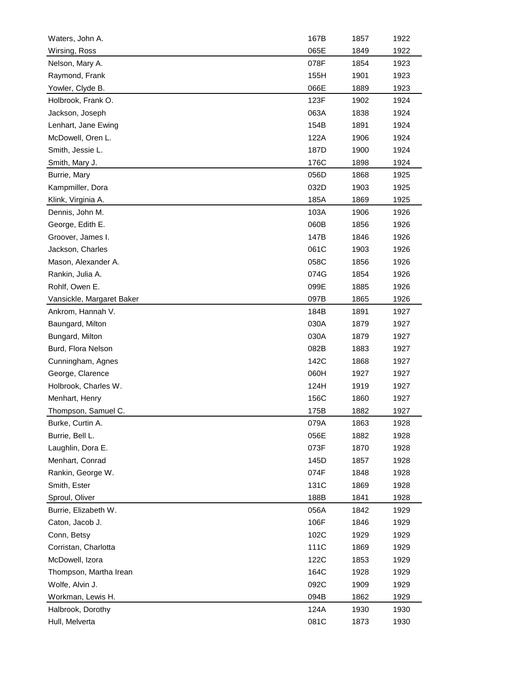| Waters, John A.           | 167B | 1857 | 1922 |
|---------------------------|------|------|------|
| Wirsing, Ross             | 065E | 1849 | 1922 |
| Nelson, Mary A.           | 078F | 1854 | 1923 |
| Raymond, Frank            | 155H | 1901 | 1923 |
| Yowler, Clyde B.          | 066E | 1889 | 1923 |
| Holbrook, Frank O.        | 123F | 1902 | 1924 |
| Jackson, Joseph           | 063A | 1838 | 1924 |
| Lenhart, Jane Ewing       | 154B | 1891 | 1924 |
| McDowell, Oren L.         | 122A | 1906 | 1924 |
| Smith, Jessie L.          | 187D | 1900 | 1924 |
| Smith, Mary J.            | 176C | 1898 | 1924 |
| Burrie, Mary              | 056D | 1868 | 1925 |
| Kampmiller, Dora          | 032D | 1903 | 1925 |
| Klink, Virginia A.        | 185A | 1869 | 1925 |
| Dennis, John M.           | 103A | 1906 | 1926 |
| George, Edith E.          | 060B | 1856 | 1926 |
| Groover, James I.         | 147B | 1846 | 1926 |
| Jackson, Charles          | 061C | 1903 | 1926 |
| Mason, Alexander A.       | 058C | 1856 | 1926 |
| Rankin, Julia A.          | 074G | 1854 | 1926 |
| Rohlf, Owen E.            | 099E | 1885 | 1926 |
| Vansickle, Margaret Baker | 097B | 1865 | 1926 |
| Ankrom, Hannah V.         | 184B | 1891 | 1927 |
| Baungard, Milton          | 030A | 1879 | 1927 |
| Bungard, Milton           | 030A | 1879 | 1927 |
| Burd, Flora Nelson        | 082B | 1883 | 1927 |
| Cunningham, Agnes         | 142C | 1868 | 1927 |
| George, Clarence          | 060H | 1927 | 1927 |
| Holbrook, Charles W.      | 124H | 1919 | 1927 |
| Menhart, Henry            | 156C | 1860 | 1927 |
| Thompson, Samuel C.       | 175B | 1882 | 1927 |
| Burke, Curtin A.          | 079A | 1863 | 1928 |
| Burrie, Bell L.           | 056E | 1882 | 1928 |
| Laughlin, Dora E.         | 073F | 1870 | 1928 |
| Menhart, Conrad           | 145D | 1857 | 1928 |
| Rankin, George W.         | 074F | 1848 | 1928 |
| Smith, Ester              | 131C | 1869 | 1928 |
| Sproul, Oliver            | 188B | 1841 | 1928 |
| Burrie, Elizabeth W.      | 056A | 1842 | 1929 |
| Caton, Jacob J.           | 106F | 1846 | 1929 |
| Conn, Betsy               | 102C | 1929 | 1929 |
| Corristan, Charlotta      | 111C | 1869 | 1929 |
| McDowell, Izora           | 122C | 1853 | 1929 |
| Thompson, Martha Irean    | 164C | 1928 | 1929 |
| Wolfe, Alvin J.           | 092C | 1909 | 1929 |
| Workman, Lewis H.         | 094B | 1862 | 1929 |
| Halbrook, Dorothy         | 124A | 1930 | 1930 |
| Hull, Melverta            | 081C | 1873 | 1930 |
|                           |      |      |      |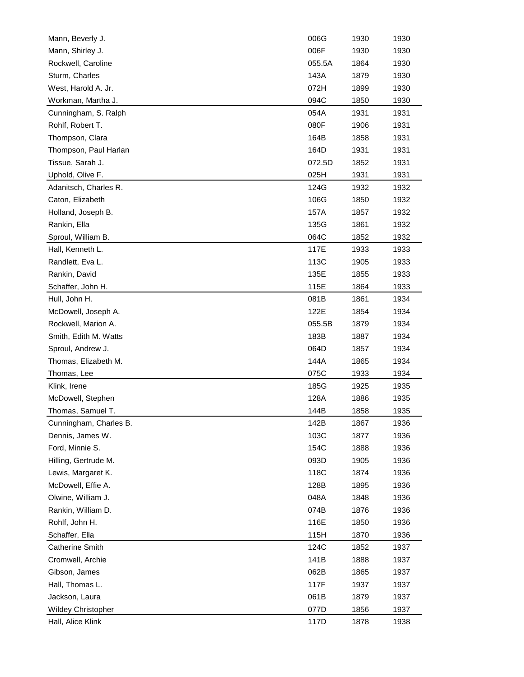| Mann, Beverly J.          | 006G   | 1930 | 1930 |
|---------------------------|--------|------|------|
| Mann, Shirley J.          | 006F   | 1930 | 1930 |
| Rockwell, Caroline        | 055.5A | 1864 | 1930 |
| Sturm, Charles            | 143A   | 1879 | 1930 |
| West, Harold A. Jr.       | 072H   | 1899 | 1930 |
| Workman, Martha J.        | 094C   | 1850 | 1930 |
| Cunningham, S. Ralph      | 054A   | 1931 | 1931 |
| Rohlf, Robert T.          | 080F   | 1906 | 1931 |
| Thompson, Clara           | 164B   | 1858 | 1931 |
| Thompson, Paul Harlan     | 164D   | 1931 | 1931 |
| Tissue, Sarah J.          | 072.5D | 1852 | 1931 |
| Uphold, Olive F.          | 025H   | 1931 | 1931 |
| Adanitsch, Charles R.     | 124G   | 1932 | 1932 |
| Caton, Elizabeth          | 106G   | 1850 | 1932 |
| Holland, Joseph B.        | 157A   | 1857 | 1932 |
| Rankin, Ella              | 135G   | 1861 | 1932 |
| Sproul, William B.        | 064C   | 1852 | 1932 |
| Hall, Kenneth L.          | 117E   | 1933 | 1933 |
| Randlett, Eva L.          | 113C   | 1905 | 1933 |
| Rankin, David             | 135E   | 1855 | 1933 |
| Schaffer, John H.         | 115E   | 1864 | 1933 |
| Hull, John H.             | 081B   | 1861 | 1934 |
| McDowell, Joseph A.       | 122E   | 1854 | 1934 |
| Rockwell, Marion A.       | 055.5B | 1879 | 1934 |
| Smith, Edith M. Watts     | 183B   | 1887 | 1934 |
| Sproul, Andrew J.         | 064D   | 1857 | 1934 |
| Thomas, Elizabeth M.      | 144A   | 1865 | 1934 |
| Thomas, Lee               | 075C   | 1933 | 1934 |
| Klink, Irene              | 185G   | 1925 | 1935 |
| McDowell, Stephen         | 128A   | 1886 | 1935 |
| Thomas, Samuel T.         | 144B   | 1858 | 1935 |
| Cunningham, Charles B.    | 142B   | 1867 | 1936 |
| Dennis, James W.          | 103C   | 1877 | 1936 |
| Ford, Minnie S.           | 154C   |      |      |
|                           |        | 1888 | 1936 |
| Hilling, Gertrude M.      | 093D   | 1905 | 1936 |
| Lewis, Margaret K.        | 118C   | 1874 | 1936 |
| McDowell, Effie A.        | 128B   | 1895 | 1936 |
| Olwine, William J.        | 048A   | 1848 | 1936 |
| Rankin, William D.        | 074B   | 1876 | 1936 |
| Rohlf, John H.            | 116E   | 1850 | 1936 |
| Schaffer, Ella            | 115H   | 1870 | 1936 |
| <b>Catherine Smith</b>    | 124C   | 1852 | 1937 |
| Cromwell, Archie          | 141B   | 1888 | 1937 |
| Gibson, James             | 062B   | 1865 | 1937 |
| Hall, Thomas L.           | 117F   | 1937 | 1937 |
| Jackson, Laura            | 061B   | 1879 | 1937 |
| <b>Wildey Christopher</b> | 077D   | 1856 | 1937 |
| Hall, Alice Klink         | 117D   | 1878 | 1938 |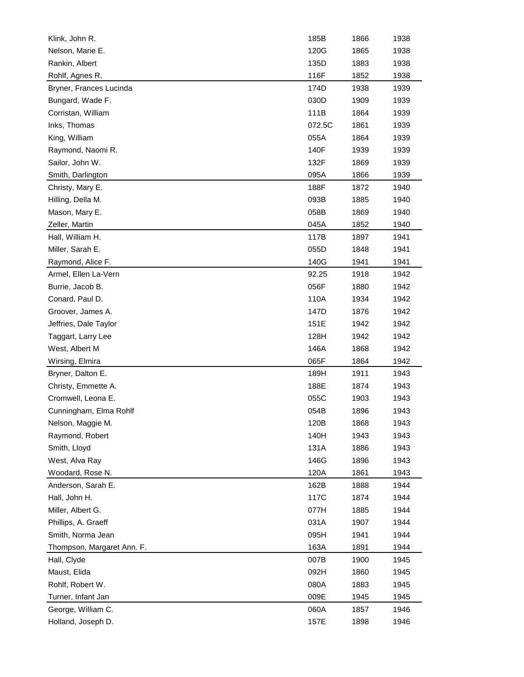| Klink, John R.             | 185B   | 1866 | 1938 |
|----------------------------|--------|------|------|
| Nelson, Marie E.           | 120G   | 1865 | 1938 |
| Rankin, Albert             | 135D   | 1883 | 1938 |
| Rohlf, Agnes R.            | 116F   | 1852 | 1938 |
| Bryner, Frances Lucinda    | 174D   | 1938 | 1939 |
| Bungard, Wade F.           | 030D   | 1909 | 1939 |
| Corristan, William         | 111B   | 1864 | 1939 |
| Inks, Thomas               | 072.5C | 1861 | 1939 |
| King, William              | 055A   | 1864 | 1939 |
| Raymond, Naomi R.          | 140F   | 1939 | 1939 |
| Sailor, John W.            | 132F   | 1869 | 1939 |
| Smith, Darlington          | 095A   | 1866 | 1939 |
| Christy, Mary E.           | 188F   | 1872 | 1940 |
| Hilling, Della M.          | 093B   | 1885 | 1940 |
| Mason, Mary E.             | 058B   | 1869 | 1940 |
| Zeller, Martin             | 045A   | 1852 | 1940 |
| Hall, William H.           | 117B   | 1897 | 1941 |
| Miller, Sarah E.           | 055D   | 1848 | 1941 |
| Raymond, Alice F.          | 140G   | 1941 | 1941 |
| Armel, Ellen La-Vern       | 92.25  | 1918 | 1942 |
| Burrie, Jacob B.           | 056F   | 1880 | 1942 |
| Conard, Paul D.            | 110A   | 1934 | 1942 |
| Groover, James A.          | 147D   | 1876 | 1942 |
| Jeffries, Dale Taylor      | 151E   | 1942 | 1942 |
| Taggart, Larry Lee         | 128H   | 1942 | 1942 |
| West, Albert M             | 146A   | 1868 | 1942 |
| Wirsing, Elmira            | 065F   | 1864 | 1942 |
| Bryner, Dalton E.          | 189H   | 1911 | 1943 |
| Christy, Emmette A.        | 188E   | 1874 | 1943 |
| Cromwell, Leona E.         | 055C   | 1903 | 1943 |
| Cunningham, Elma Rohlf     | 054B   | 1896 | 1943 |
| Nelson, Maggie M.          | 120B   | 1868 | 1943 |
| Raymond, Robert            | 140H   | 1943 | 1943 |
| Smith, Lloyd               | 131A   | 1886 | 1943 |
| West, Alva Ray             | 146G   | 1896 | 1943 |
| Woodard, Rose N.           | 120A   | 1861 | 1943 |
| Anderson, Sarah E.         | 162B   | 1888 | 1944 |
| Hall, John H.              | 117C   | 1874 | 1944 |
| Miller, Albert G.          | 077H   | 1885 | 1944 |
| Phillips, A. Graeff        | 031A   | 1907 | 1944 |
| Smith, Norma Jean          | 095H   | 1941 | 1944 |
| Thompson, Margaret Ann. F. | 163A   | 1891 | 1944 |
| Hall, Clyde                | 007B   | 1900 | 1945 |
| Maust, Elida               | 092H   | 1860 | 1945 |
| Rohlf, Robert W.           | 080A   | 1883 | 1945 |
| Turner, Infant Jan         | 009E   | 1945 | 1945 |
| George, William C.         | 060A   | 1857 | 1946 |
| Holland, Joseph D.         | 157E   | 1898 | 1946 |
|                            |        |      |      |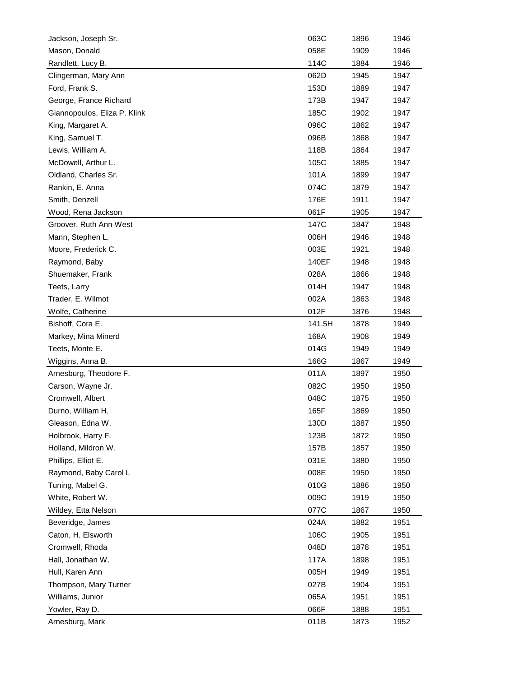| Jackson, Joseph Sr.          | 063C   | 1896 | 1946 |
|------------------------------|--------|------|------|
| Mason, Donald                | 058E   | 1909 | 1946 |
| Randlett, Lucy B.            | 114C   | 1884 | 1946 |
| Clingerman, Mary Ann         | 062D   | 1945 | 1947 |
| Ford, Frank S.               | 153D   | 1889 | 1947 |
| George, France Richard       | 173B   | 1947 | 1947 |
| Giannopoulos, Eliza P. Klink | 185C   | 1902 | 1947 |
| King, Margaret A.            | 096C   | 1862 | 1947 |
| King, Samuel T.              | 096B   | 1868 | 1947 |
| Lewis, William A.            | 118B   | 1864 | 1947 |
| McDowell, Arthur L.          | 105C   | 1885 | 1947 |
| Oldland, Charles Sr.         | 101A   | 1899 | 1947 |
| Rankin, E. Anna              | 074C   | 1879 | 1947 |
| Smith, Denzell               | 176E   | 1911 | 1947 |
| Wood, Rena Jackson           | 061F   | 1905 | 1947 |
| Groover, Ruth Ann West       | 147C   | 1847 | 1948 |
| Mann, Stephen L.             | 006H   | 1946 | 1948 |
| Moore, Frederick C.          | 003E   | 1921 | 1948 |
| Raymond, Baby                | 140EF  | 1948 | 1948 |
| Shuemaker, Frank             | 028A   | 1866 | 1948 |
| Teets, Larry                 | 014H   | 1947 | 1948 |
| Trader, E. Wilmot            | 002A   | 1863 | 1948 |
| Wolfe, Catherine             | 012F   | 1876 | 1948 |
| Bishoff, Cora E.             | 141.5H | 1878 | 1949 |
| Markey, Mina Minerd          | 168A   | 1908 | 1949 |
| Teets, Monte E.              | 014G   | 1949 | 1949 |
| Wiggins, Anna B.             | 166G   | 1867 | 1949 |
| Arnesburg, Theodore F.       | 011A   | 1897 | 1950 |
| Carson, Wayne Jr.            | 082C   | 1950 | 1950 |
| Cromwell, Albert             | 048C   |      |      |
|                              |        | 1875 | 1950 |
| Durno, William H.            | 165F   | 1869 | 1950 |
| Gleason, Edna W.             | 130D   | 1887 | 1950 |
| Holbrook, Harry F.           | 123B   | 1872 | 1950 |
| Holland, Mildron W.          | 157B   | 1857 | 1950 |
| Phillips, Elliot E.          | 031E   | 1880 | 1950 |
| Raymond, Baby Carol L        | 008E   | 1950 | 1950 |
| Tuning, Mabel G.             | 010G   | 1886 | 1950 |
| White, Robert W.             | 009C   | 1919 | 1950 |
| Wildey, Etta Nelson          | 077C   | 1867 | 1950 |
| Beveridge, James             | 024A   | 1882 | 1951 |
| Caton, H. Elsworth           | 106C   | 1905 | 1951 |
| Cromwell, Rhoda              | 048D   | 1878 | 1951 |
| Hall, Jonathan W.            | 117A   | 1898 | 1951 |
| Hull, Karen Ann              | 005H   | 1949 | 1951 |
| Thompson, Mary Turner        | 027B   | 1904 | 1951 |
| Williams, Junior             | 065A   | 1951 | 1951 |
| Yowler, Ray D.               | 066F   | 1888 | 1951 |
| Arnesburg, Mark              | 011B   | 1873 | 1952 |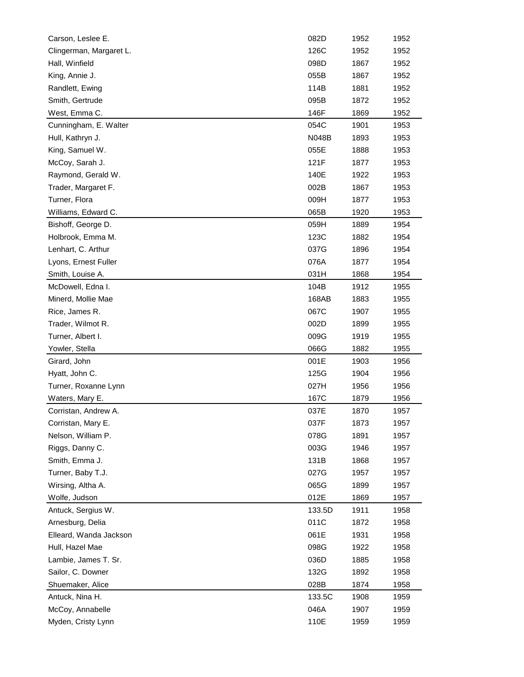| Carson, Leslee E.                      | 082D         | 1952         | 1952         |
|----------------------------------------|--------------|--------------|--------------|
| Clingerman, Margaret L.                | 126C         | 1952         | 1952         |
| Hall, Winfield                         | 098D         | 1867         | 1952         |
| King, Annie J.                         | 055B         | 1867         | 1952         |
| Randlett, Ewing                        | 114B         | 1881         | 1952         |
| Smith, Gertrude                        | 095B         | 1872         | 1952         |
| West, Emma C.                          | 146F         | 1869         | 1952         |
| Cunningham, E. Walter                  | 054C         | 1901         | 1953         |
| Hull, Kathryn J.                       | N048B        | 1893         | 1953         |
| King, Samuel W.                        | 055E         | 1888         | 1953         |
| McCoy, Sarah J.                        | 121F         | 1877         | 1953         |
| Raymond, Gerald W.                     | 140E         | 1922         | 1953         |
| Trader, Margaret F.                    | 002B         | 1867         | 1953         |
| Turner, Flora                          | 009H         | 1877         | 1953         |
| Williams, Edward C.                    | 065B         | 1920         | 1953         |
| Bishoff, George D.                     | 059H         | 1889         | 1954         |
| Holbrook, Emma M.                      | 123C         | 1882         | 1954         |
| Lenhart, C. Arthur                     | 037G         | 1896         | 1954         |
| Lyons, Ernest Fuller                   | 076A         | 1877         | 1954         |
| Smith, Louise A.                       | 031H         | 1868         | 1954         |
| McDowell, Edna I.                      | 104B         | 1912         | 1955         |
| Minerd, Mollie Mae                     | 168AB        | 1883         | 1955         |
| Rice, James R.                         | 067C         | 1907         | 1955         |
| Trader, Wilmot R.                      | 002D         | 1899         | 1955         |
| Turner, Albert I.                      | 009G         | 1919         | 1955         |
| Yowler, Stella                         | 066G         | 1882         | 1955         |
| Girard, John                           | 001E         | 1903         | 1956         |
| Hyatt, John C.                         | 125G         | 1904         | 1956         |
| Turner, Roxanne Lynn                   | 027H         | 1956         | 1956         |
| Waters, Mary E.                        | 167C         | 1879         | 1956         |
| Corristan, Andrew A.                   | 037E         | 1870         | 1957         |
| Corristan, Mary E.                     | 037F         | 1873         | 1957         |
| Nelson, William P.                     | 078G         | 1891         | 1957         |
| Riggs, Danny C.                        | 003G         | 1946         | 1957         |
| Smith, Emma J.                         | 131B         | 1868         | 1957         |
| Turner, Baby T.J.                      | 027G         | 1957         | 1957         |
| Wirsing, Altha A.                      | 065G         |              | 1957         |
| Wolfe, Judson                          | 012E         | 1899<br>1869 |              |
| Antuck, Sergius W.                     | 133.5D       | 1911         | 1957         |
| Arnesburg, Delia                       |              |              | 1958         |
|                                        |              |              |              |
|                                        | 011C         | 1872         | 1958         |
| Elleard, Wanda Jackson                 | 061E         | 1931         | 1958         |
| Hull, Hazel Mae                        | 098G         | 1922         | 1958         |
| Lambie, James T. Sr.                   | 036D         | 1885         | 1958         |
| Sailor, C. Downer                      | 132G         | 1892         | 1958         |
| Shuemaker, Alice                       | 028B         | 1874         | 1958         |
| Antuck, Nina H.                        | 133.5C       | 1908         | 1959         |
| McCoy, Annabelle<br>Myden, Cristy Lynn | 046A<br>110E | 1907<br>1959 | 1959<br>1959 |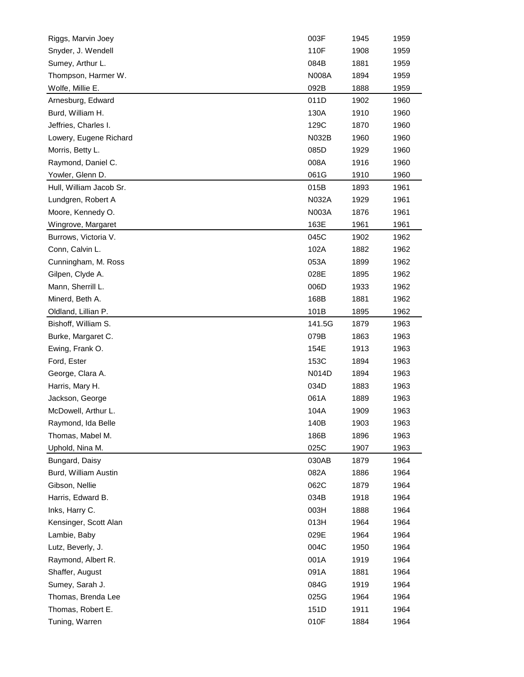| Riggs, Marvin Joey      | 003F         | 1945 | 1959 |
|-------------------------|--------------|------|------|
| Snyder, J. Wendell      | 110F         | 1908 | 1959 |
| Sumey, Arthur L.        | 084B         | 1881 | 1959 |
| Thompson, Harmer W.     | N008A        | 1894 | 1959 |
| Wolfe, Millie E.        | 092B         | 1888 | 1959 |
| Arnesburg, Edward       | 011D         | 1902 | 1960 |
| Burd, William H.        | 130A         | 1910 | 1960 |
| Jeffries, Charles I.    | 129C         | 1870 | 1960 |
| Lowery, Eugene Richard  | <b>N032B</b> | 1960 | 1960 |
| Morris, Betty L.        | 085D         | 1929 | 1960 |
| Raymond, Daniel C.      | 008A         | 1916 | 1960 |
| Yowler, Glenn D.        | 061G         | 1910 | 1960 |
| Hull, William Jacob Sr. | 015B         | 1893 | 1961 |
| Lundgren, Robert A      | N032A        | 1929 | 1961 |
| Moore, Kennedy O.       | <b>N003A</b> | 1876 | 1961 |
| Wingrove, Margaret      | 163E         | 1961 | 1961 |
| Burrows, Victoria V.    | 045C         | 1902 | 1962 |
| Conn, Calvin L.         | 102A         | 1882 | 1962 |
| Cunningham, M. Ross     | 053A         | 1899 | 1962 |
| Gilpen, Clyde A.        | 028E         | 1895 | 1962 |
| Mann, Sherrill L.       | 006D         | 1933 | 1962 |
| Minerd, Beth A.         | 168B         | 1881 | 1962 |
| Oldland, Lillian P.     | 101B         | 1895 | 1962 |
| Bishoff, William S.     | 141.5G       | 1879 | 1963 |
| Burke, Margaret C.      | 079B         | 1863 | 1963 |
| Ewing, Frank O.         | 154E         | 1913 | 1963 |
| Ford, Ester             | 153C         | 1894 | 1963 |
| George, Clara A.        | <b>N014D</b> | 1894 | 1963 |
| Harris, Mary H.         | 034D         | 1883 | 1963 |
| Jackson, George         | 061A         | 1889 | 1963 |
| McDowell, Arthur L.     | 104A         | 1909 | 1963 |
| Raymond, Ida Belle      | 140B         | 1903 | 1963 |
| Thomas, Mabel M.        | 186B         | 1896 | 1963 |
| Uphold, Nina M.         | 025C         | 1907 | 1963 |
| Bungard, Daisy          | 030AB        | 1879 | 1964 |
| Burd, William Austin    | 082A         | 1886 | 1964 |
| Gibson, Nellie          | 062C         | 1879 | 1964 |
| Harris, Edward B.       | 034B         | 1918 | 1964 |
| Inks, Harry C.          | 003H         | 1888 | 1964 |
| Kensinger, Scott Alan   | 013H         | 1964 | 1964 |
| Lambie, Baby            | 029E         | 1964 | 1964 |
| Lutz, Beverly, J.       | 004C         | 1950 | 1964 |
| Raymond, Albert R.      | 001A         | 1919 | 1964 |
| Shaffer, August         | 091A         | 1881 | 1964 |
| Sumey, Sarah J.         | 084G         | 1919 | 1964 |
| Thomas, Brenda Lee      | 025G         | 1964 | 1964 |
| Thomas, Robert E.       | 151D         | 1911 | 1964 |
| Tuning, Warren          | 010F         | 1884 | 1964 |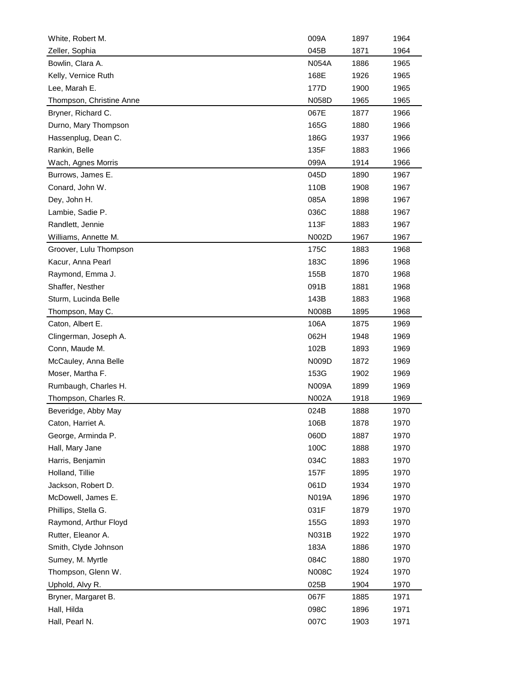| White, Robert M.         | 009A         | 1897 | 1964 |
|--------------------------|--------------|------|------|
| Zeller, Sophia           | 045B         | 1871 | 1964 |
| Bowlin, Clara A.         | <b>N054A</b> | 1886 | 1965 |
| Kelly, Vernice Ruth      | 168E         | 1926 | 1965 |
| Lee, Marah E.            | 177D         | 1900 | 1965 |
| Thompson, Christine Anne | N058D        | 1965 | 1965 |
| Bryner, Richard C.       | 067E         | 1877 | 1966 |
| Durno, Mary Thompson     | 165G         | 1880 | 1966 |
| Hassenplug, Dean C.      | 186G         | 1937 | 1966 |
| Rankin, Belle            | 135F         | 1883 | 1966 |
| Wach, Agnes Morris       | 099A         | 1914 | 1966 |
| Burrows, James E.        | 045D         | 1890 | 1967 |
| Conard, John W.          | 110B         | 1908 | 1967 |
| Dey, John H.             | 085A         | 1898 | 1967 |
| Lambie, Sadie P.         | 036C         | 1888 | 1967 |
| Randlett, Jennie         | 113F         | 1883 | 1967 |
| Williams, Annette M.     | N002D        | 1967 | 1967 |
| Groover, Lulu Thompson   | 175C         | 1883 | 1968 |
| Kacur, Anna Pearl        | 183C         | 1896 | 1968 |
| Raymond, Emma J.         | 155B         | 1870 | 1968 |
| Shaffer, Nesther         | 091B         | 1881 | 1968 |
| Sturm, Lucinda Belle     | 143B         | 1883 | 1968 |
| Thompson, May C.         | N008B        | 1895 | 1968 |
| Caton, Albert E.         | 106A         | 1875 | 1969 |
| Clingerman, Joseph A.    | 062H         | 1948 | 1969 |
| Conn, Maude M.           | 102B         | 1893 | 1969 |
| McCauley, Anna Belle     | N009D        | 1872 | 1969 |
| Moser, Martha F.         | 153G         | 1902 | 1969 |
| Rumbaugh, Charles H.     | N009A        | 1899 | 1969 |
| Thompson, Charles R.     | N002A        | 1918 | 1969 |
| Beveridge, Abby May      | 024B         | 1888 | 1970 |
| Caton, Harriet A.        | 106B         | 1878 | 1970 |
| George, Arminda P.       | 060D         | 1887 | 1970 |
| Hall, Mary Jane          | 100C         | 1888 | 1970 |
| Harris, Benjamin         | 034C         | 1883 | 1970 |
| Holland, Tillie          | 157F         | 1895 | 1970 |
| Jackson, Robert D.       | 061D         | 1934 | 1970 |
| McDowell, James E.       | N019A        | 1896 | 1970 |
| Phillips, Stella G.      | 031F         | 1879 | 1970 |
| Raymond, Arthur Floyd    | 155G         | 1893 | 1970 |
| Rutter, Eleanor A.       | N031B        | 1922 | 1970 |
|                          |              |      |      |
| Smith, Clyde Johnson     | 183A         | 1886 | 1970 |
| Sumey, M. Myrtle         | 084C         | 1880 | 1970 |
| Thompson, Glenn W.       | N008C        | 1924 | 1970 |
| Uphold, Alvy R.          | 025B         | 1904 | 1970 |
| Bryner, Margaret B.      | 067F         | 1885 | 1971 |
| Hall, Hilda              | 098C         | 1896 | 1971 |
| Hall, Pearl N.           | 007C         | 1903 | 1971 |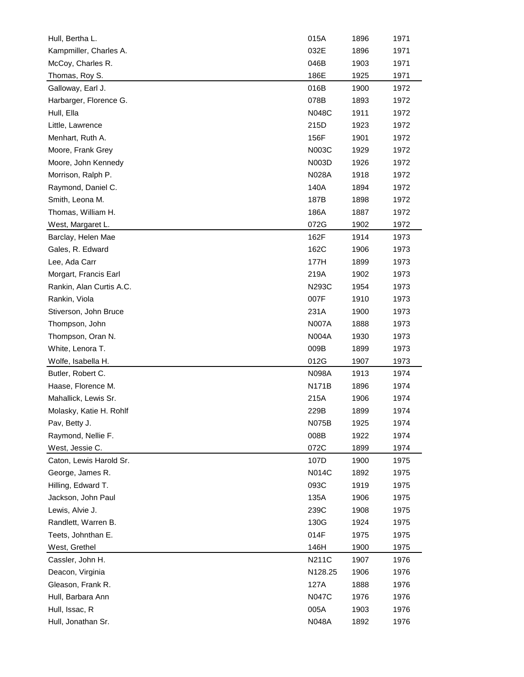| Hull, Bertha L.          | 015A         | 1896 | 1971 |
|--------------------------|--------------|------|------|
| Kampmiller, Charles A.   | 032E         | 1896 | 1971 |
| McCoy, Charles R.        | 046B         | 1903 | 1971 |
| Thomas, Roy S.           | 186E         | 1925 | 1971 |
| Galloway, Earl J.        | 016B         | 1900 | 1972 |
| Harbarger, Florence G.   | 078B         | 1893 | 1972 |
| Hull, Ella               | N048C        | 1911 | 1972 |
| Little, Lawrence         | 215D         | 1923 | 1972 |
| Menhart, Ruth A.         | 156F         | 1901 | 1972 |
| Moore, Frank Grey        | N003C        | 1929 | 1972 |
| Moore, John Kennedy      | N003D        | 1926 | 1972 |
| Morrison, Ralph P.       | N028A        | 1918 | 1972 |
| Raymond, Daniel C.       | 140A         | 1894 | 1972 |
| Smith, Leona M.          | 187B         | 1898 | 1972 |
| Thomas, William H.       | 186A         | 1887 | 1972 |
| West, Margaret L.        | 072G         | 1902 | 1972 |
| Barclay, Helen Mae       | 162F         | 1914 | 1973 |
| Gales, R. Edward         | 162C         | 1906 | 1973 |
| Lee, Ada Carr            | 177H         | 1899 | 1973 |
| Morgart, Francis Earl    | 219A         | 1902 | 1973 |
| Rankin, Alan Curtis A.C. | N293C        | 1954 | 1973 |
| Rankin, Viola            | 007F         | 1910 | 1973 |
| Stiverson, John Bruce    | 231A         | 1900 | 1973 |
| Thompson, John           | <b>N007A</b> | 1888 | 1973 |
| Thompson, Oran N.        | <b>N004A</b> | 1930 | 1973 |
| White, Lenora T.         | 009B         | 1899 | 1973 |
| Wolfe, Isabella H.       | 012G         | 1907 | 1973 |
| Butler, Robert C.        | N098A        | 1913 | 1974 |
| Haase, Florence M.       | N171B        | 1896 | 1974 |
| Mahallick, Lewis Sr.     | 215A         | 1906 | 1974 |
| Molasky, Katie H. Rohlf  | 229B         | 1899 | 1974 |
| Pav, Betty J.            | N075B        | 1925 | 1974 |
| Raymond, Nellie F.       | 008B         | 1922 | 1974 |
| West, Jessie C.          | 072C         | 1899 | 1974 |
| Caton, Lewis Harold Sr.  | 107D         | 1900 | 1975 |
| George, James R.         | <b>N014C</b> | 1892 | 1975 |
| Hilling, Edward T.       | 093C         | 1919 | 1975 |
| Jackson, John Paul       | 135A         | 1906 | 1975 |
| Lewis, Alvie J.          | 239C         | 1908 | 1975 |
| Randlett, Warren B.      | 130G         | 1924 | 1975 |
| Teets, Johnthan E.       | 014F         | 1975 | 1975 |
| West, Grethel            | 146H         | 1900 | 1975 |
| Cassler, John H.         | N211C        | 1907 | 1976 |
| Deacon, Virginia         | N128.25      | 1906 | 1976 |
| Gleason, Frank R.        | 127A         | 1888 | 1976 |
| Hull, Barbara Ann        | <b>N047C</b> | 1976 | 1976 |
| Hull, Issac, R           | 005A         | 1903 | 1976 |
| Hull, Jonathan Sr.       | N048A        | 1892 | 1976 |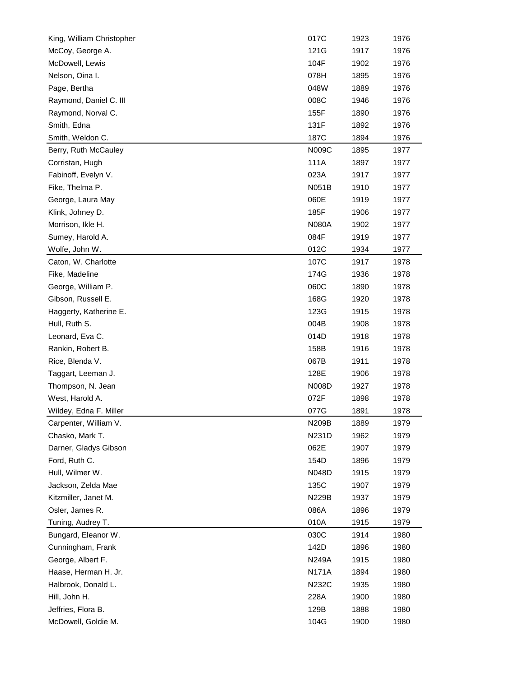| King, William Christopher | 017C         | 1923 | 1976 |
|---------------------------|--------------|------|------|
| McCoy, George A.          | 121G         | 1917 | 1976 |
| McDowell, Lewis           | 104F         | 1902 | 1976 |
| Nelson, Oina I.           | 078H         | 1895 | 1976 |
| Page, Bertha              | 048W         | 1889 | 1976 |
| Raymond, Daniel C. III    | 008C         | 1946 | 1976 |
| Raymond, Norval C.        | 155F         | 1890 | 1976 |
| Smith, Edna               | 131F         | 1892 | 1976 |
| Smith, Weldon C.          | 187C         | 1894 | 1976 |
| Berry, Ruth McCauley      | N009C        | 1895 | 1977 |
| Corristan, Hugh           | 111A         | 1897 | 1977 |
| Fabinoff, Evelyn V.       | 023A         | 1917 | 1977 |
| Fike, Thelma P.           | N051B        | 1910 | 1977 |
| George, Laura May         | 060E         | 1919 | 1977 |
| Klink, Johney D.          | 185F         | 1906 | 1977 |
| Morrison, Ikle H.         | <b>N080A</b> | 1902 | 1977 |
| Sumey, Harold A.          | 084F         | 1919 | 1977 |
| Wolfe, John W.            | 012C         | 1934 | 1977 |
| Caton, W. Charlotte       | 107C         | 1917 | 1978 |
| Fike, Madeline            | 174G         | 1936 | 1978 |
| George, William P.        | 060C         | 1890 | 1978 |
| Gibson, Russell E.        | 168G         | 1920 | 1978 |
| Haggerty, Katherine E.    | 123G         | 1915 | 1978 |
| Hull, Ruth S.             | 004B         | 1908 | 1978 |
| Leonard, Eva C.           | 014D         | 1918 | 1978 |
| Rankin, Robert B.         | 158B         | 1916 | 1978 |
| Rice, Blenda V.           | 067B         | 1911 | 1978 |
| Taggart, Leeman J.        | 128E         | 1906 | 1978 |
| Thompson, N. Jean         | N008D        | 1927 | 1978 |
| West, Harold A.           | 072F         | 1898 | 1978 |
| Wildey, Edna F. Miller    | 077G         | 1891 | 1978 |
| Carpenter, William V.     | N209B        | 1889 | 1979 |
| Chasko, Mark T.           | N231D        | 1962 | 1979 |
| Darner, Gladys Gibson     | 062E         | 1907 | 1979 |
| Ford, Ruth C.             | 154D         | 1896 | 1979 |
| Hull, Wilmer W.           | N048D        | 1915 | 1979 |
| Jackson, Zelda Mae        | 135C         | 1907 | 1979 |
| Kitzmiller, Janet M.      | N229B        | 1937 | 1979 |
| Osler, James R.           | 086A         | 1896 | 1979 |
| Tuning, Audrey T.         | 010A         | 1915 | 1979 |
| Bungard, Eleanor W.       | 030C         | 1914 | 1980 |
| Cunningham, Frank         | 142D         | 1896 | 1980 |
| George, Albert F.         | N249A        | 1915 | 1980 |
| Haase, Herman H. Jr.      | <b>N171A</b> | 1894 | 1980 |
| Halbrook, Donald L.       | N232C        | 1935 | 1980 |
| Hill, John H.             | 228A         | 1900 | 1980 |
| Jeffries, Flora B.        | 129B         | 1888 | 1980 |
| McDowell, Goldie M.       | 104G         | 1900 | 1980 |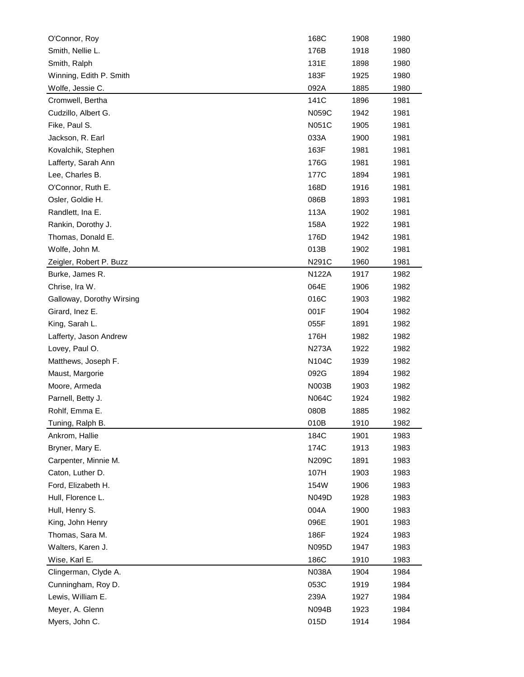| O'Connor, Roy             | 168C         | 1908 | 1980 |
|---------------------------|--------------|------|------|
| Smith, Nellie L.          | 176B         | 1918 | 1980 |
| Smith, Ralph              | 131E         | 1898 | 1980 |
| Winning, Edith P. Smith   | 183F         | 1925 | 1980 |
| Wolfe, Jessie C.          | 092A         | 1885 | 1980 |
| Cromwell, Bertha          | 141C         | 1896 | 1981 |
| Cudzillo, Albert G.       | N059C        | 1942 | 1981 |
| Fike, Paul S.             | <b>N051C</b> | 1905 | 1981 |
| Jackson, R. Earl          | 033A         | 1900 | 1981 |
| Kovalchik, Stephen        | 163F         | 1981 | 1981 |
| Lafferty, Sarah Ann       | 176G         | 1981 | 1981 |
| Lee, Charles B.           | 177C         | 1894 | 1981 |
| O'Connor, Ruth E.         | 168D         | 1916 | 1981 |
| Osler, Goldie H.          | 086B         | 1893 | 1981 |
| Randlett, Ina E.          | 113A         | 1902 | 1981 |
| Rankin, Dorothy J.        | 158A         | 1922 | 1981 |
| Thomas, Donald E.         | 176D         | 1942 | 1981 |
| Wolfe, John M.            | 013B         | 1902 | 1981 |
| Zeigler, Robert P. Buzz   | N291C        | 1960 | 1981 |
| Burke, James R.           | N122A        | 1917 | 1982 |
| Chrise, Ira W.            | 064E         | 1906 | 1982 |
| Galloway, Dorothy Wirsing | 016C         | 1903 | 1982 |
| Girard, Inez E.           | 001F         | 1904 | 1982 |
| King, Sarah L.            | 055F         | 1891 | 1982 |
| Lafferty, Jason Andrew    | 176H         | 1982 | 1982 |
| Lovey, Paul O.            | N273A        | 1922 | 1982 |
| Matthews, Joseph F.       | N104C        | 1939 | 1982 |
| Maust, Margorie           | 092G         | 1894 | 1982 |
| Moore, Armeda             | N003B        | 1903 | 1982 |
| Parnell, Betty J.         | N064C        | 1924 | 1982 |
| Rohlf, Emma E.            | 080B         | 1885 | 1982 |
| Tuning, Ralph B.          | 010B         | 1910 | 1982 |
| Ankrom, Hallie            | 184C         | 1901 | 1983 |
| Bryner, Mary E.           | 174C         | 1913 | 1983 |
| Carpenter, Minnie M.      | N209C        | 1891 | 1983 |
| Caton, Luther D.          | 107H         | 1903 | 1983 |
| Ford, Elizabeth H.        | 154W         | 1906 | 1983 |
| Hull, Florence L.         | N049D        | 1928 | 1983 |
| Hull, Henry S.            | 004A         | 1900 | 1983 |
| King, John Henry          | 096E         | 1901 | 1983 |
| Thomas, Sara M.           | 186F         | 1924 | 1983 |
| Walters, Karen J.         | N095D        | 1947 | 1983 |
| Wise, Karl E.             | 186C         | 1910 | 1983 |
| Clingerman, Clyde A.      | N038A        | 1904 | 1984 |
| Cunningham, Roy D.        | 053C         | 1919 | 1984 |
| Lewis, William E.         | 239A         | 1927 | 1984 |
| Meyer, A. Glenn           | N094B        | 1923 | 1984 |
| Myers, John C.            | 015D         | 1914 | 1984 |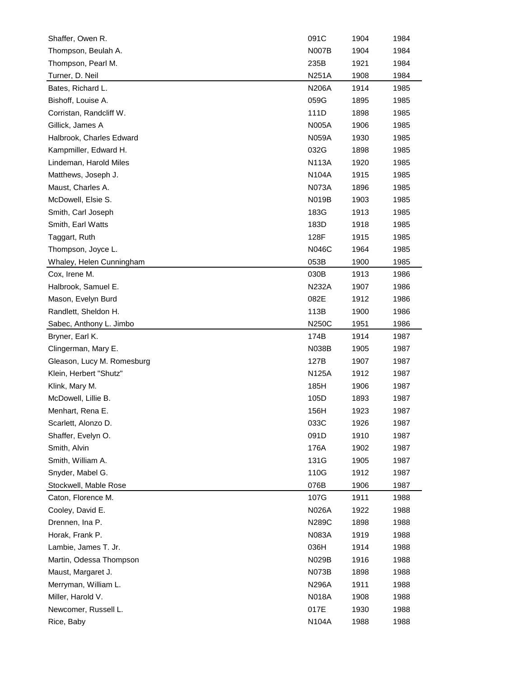| Shaffer, Owen R.           | 091C         | 1904 | 1984 |
|----------------------------|--------------|------|------|
| Thompson, Beulah A.        | <b>N007B</b> | 1904 | 1984 |
| Thompson, Pearl M.         | 235B         | 1921 | 1984 |
| Turner, D. Neil            | N251A        | 1908 | 1984 |
| Bates, Richard L.          | <b>N206A</b> | 1914 | 1985 |
| Bishoff, Louise A.         | 059G         | 1895 | 1985 |
| Corristan, Randcliff W.    | 111D         | 1898 | 1985 |
| Gillick, James A           | N005A        | 1906 | 1985 |
| Halbrook, Charles Edward   | <b>N059A</b> | 1930 | 1985 |
| Kampmiller, Edward H.      | 032G         | 1898 | 1985 |
| Lindeman, Harold Miles     | <b>N113A</b> | 1920 | 1985 |
| Matthews, Joseph J.        | N104A        | 1915 | 1985 |
| Maust, Charles A.          | N073A        | 1896 | 1985 |
| McDowell, Elsie S.         | <b>N019B</b> | 1903 | 1985 |
| Smith, Carl Joseph         | 183G         | 1913 | 1985 |
| Smith, Earl Watts          | 183D         | 1918 | 1985 |
| Taggart, Ruth              | 128F         | 1915 | 1985 |
| Thompson, Joyce L.         | N046C        | 1964 | 1985 |
| Whaley, Helen Cunningham   | 053B         | 1900 | 1985 |
| Cox, Irene M.              | 030B         | 1913 | 1986 |
| Halbrook, Samuel E.        | N232A        | 1907 | 1986 |
| Mason, Evelyn Burd         | 082E         | 1912 | 1986 |
| Randlett, Sheldon H.       | 113B         | 1900 | 1986 |
| Sabec, Anthony L. Jimbo    | N250C        | 1951 | 1986 |
| Bryner, Earl K.            | 174B         | 1914 | 1987 |
| Clingerman, Mary E.        | N038B        | 1905 | 1987 |
| Gleason, Lucy M. Romesburg | 127B         | 1907 | 1987 |
| Klein, Herbert "Shutz"     | <b>N125A</b> | 1912 | 1987 |
| Klink, Mary M.             | 185H         | 1906 | 1987 |
| McDowell, Lillie B.        | 105D         | 1893 | 1987 |
| Menhart, Rena E.           | 156H         | 1923 | 1987 |
| Scarlett, Alonzo D.        | 033C         | 1926 | 1987 |
| Shaffer, Evelyn O.         | 091D         | 1910 | 1987 |
| Smith, Alvin               | 176A         | 1902 | 1987 |
| Smith, William A.          | 131G         | 1905 | 1987 |
| Snyder, Mabel G.           | 110G         | 1912 | 1987 |
| Stockwell, Mable Rose      | 076B         | 1906 | 1987 |
| Caton, Florence M.         | 107G         | 1911 | 1988 |
| Cooley, David E.           | N026A        | 1922 | 1988 |
| Drennen, Ina P.            | N289C        | 1898 | 1988 |
| Horak, Frank P.            | N083A        | 1919 | 1988 |
| Lambie, James T. Jr.       | 036H         | 1914 | 1988 |
| Martin, Odessa Thompson    | N029B        | 1916 | 1988 |
| Maust, Margaret J.         | N073B        | 1898 | 1988 |
| Merryman, William L.       | N296A        | 1911 | 1988 |
| Miller, Harold V.          | <b>N018A</b> | 1908 | 1988 |
| Newcomer, Russell L.       | 017E         | 1930 | 1988 |
| Rice, Baby                 | N104A        | 1988 | 1988 |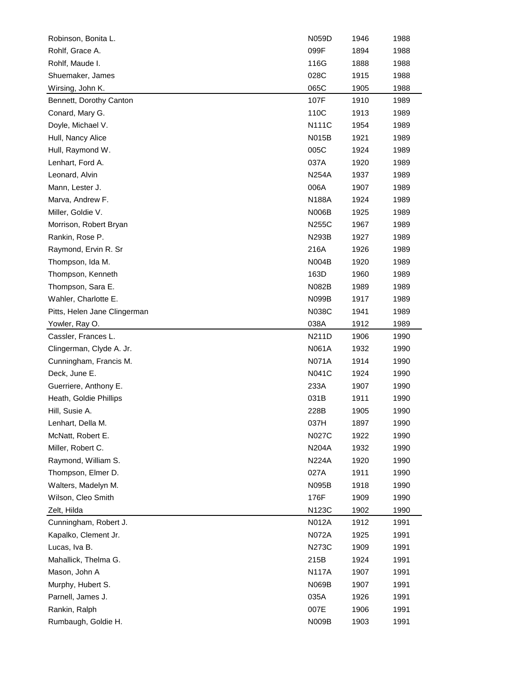| Robinson, Bonita L.          | N059D        | 1946 | 1988 |
|------------------------------|--------------|------|------|
| Rohlf, Grace A.              | 099F         | 1894 | 1988 |
| Rohlf, Maude I.              | 116G         | 1888 | 1988 |
| Shuemaker, James             | 028C         | 1915 | 1988 |
| Wirsing, John K.             | 065C         | 1905 | 1988 |
| Bennett, Dorothy Canton      | 107F         | 1910 | 1989 |
| Conard, Mary G.              | 110C         | 1913 | 1989 |
| Doyle, Michael V.            | N111C        | 1954 | 1989 |
| Hull, Nancy Alice            | <b>N015B</b> | 1921 | 1989 |
| Hull, Raymond W.             | 005C         | 1924 | 1989 |
| Lenhart, Ford A.             | 037A         | 1920 | 1989 |
| Leonard, Alvin               | <b>N254A</b> | 1937 | 1989 |
| Mann, Lester J.              | 006A         | 1907 | 1989 |
| Marva, Andrew F.             | <b>N188A</b> | 1924 | 1989 |
| Miller, Goldie V.            | <b>N006B</b> | 1925 | 1989 |
| Morrison, Robert Bryan       | N255C        | 1967 | 1989 |
| Rankin, Rose P.              | N293B        | 1927 | 1989 |
| Raymond, Ervin R. Sr         | 216A         | 1926 | 1989 |
| Thompson, Ida M.             | <b>N004B</b> | 1920 | 1989 |
| Thompson, Kenneth            | 163D         | 1960 | 1989 |
| Thompson, Sara E.            | N082B        | 1989 | 1989 |
| Wahler, Charlotte E.         | <b>N099B</b> | 1917 | 1989 |
| Pitts, Helen Jane Clingerman | N038C        | 1941 | 1989 |
| Yowler, Ray O.               | 038A         | 1912 | 1989 |
| Cassler, Frances L.          | N211D        | 1906 | 1990 |
| Clingerman, Clyde A. Jr.     | N061A        | 1932 | 1990 |
| Cunningham, Francis M.       | <b>N071A</b> | 1914 | 1990 |
| Deck, June E.                | <b>N041C</b> | 1924 | 1990 |
| Guerriere, Anthony E.        | 233A         | 1907 | 1990 |
| Heath, Goldie Phillips       | 031B         | 1911 | 1990 |
| Hill, Susie A.               | 228B         | 1905 | 1990 |
| Lenhart, Della M.            | 037H         | 1897 | 1990 |
| McNatt, Robert E.            | <b>N027C</b> | 1922 | 1990 |
| Miller, Robert C.            | N204A        | 1932 | 1990 |
| Raymond, William S.          | N224A        | 1920 | 1990 |
| Thompson, Elmer D.           | 027A         | 1911 | 1990 |
| Walters, Madelyn M.          | <b>N095B</b> | 1918 | 1990 |
| Wilson, Cleo Smith           | 176F         | 1909 | 1990 |
| Zelt, Hilda                  | N123C        | 1902 | 1990 |
| Cunningham, Robert J.        |              |      | 1991 |
| Kapalko, Clement Jr.         | N012A        | 1912 |      |
|                              | N072A        | 1925 | 1991 |
| Lucas, Iva B.                | N273C        | 1909 | 1991 |
| Mahallick, Thelma G.         | 215B         | 1924 | 1991 |
| Mason, John A                | <b>N117A</b> | 1907 | 1991 |
| Murphy, Hubert S.            | N069B        | 1907 | 1991 |
| Parnell, James J.            | 035A         | 1926 | 1991 |
| Rankin, Ralph                | 007E         | 1906 | 1991 |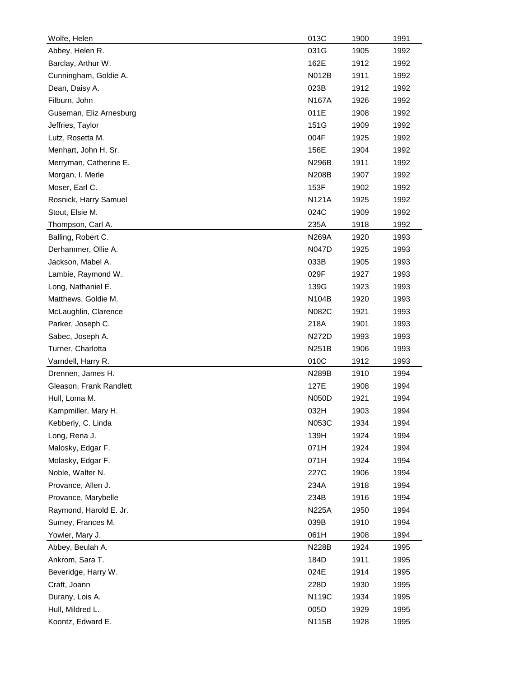| Wolfe, Helen            | 013C         | 1900 | 1991 |
|-------------------------|--------------|------|------|
| Abbey, Helen R.         | 031G         | 1905 | 1992 |
| Barclay, Arthur W.      | 162E         | 1912 | 1992 |
| Cunningham, Goldie A.   | N012B        | 1911 | 1992 |
| Dean, Daisy A.          | 023B         | 1912 | 1992 |
| Filburn, John           | N167A        | 1926 | 1992 |
| Guseman, Eliz Arnesburg | 011E         | 1908 | 1992 |
| Jeffries, Taylor        | 151G         | 1909 | 1992 |
| Lutz, Rosetta M.        | 004F         | 1925 | 1992 |
| Menhart, John H. Sr.    | 156E         | 1904 | 1992 |
| Merryman, Catherine E.  | N296B        | 1911 | 1992 |
| Morgan, I. Merle        | N208B        | 1907 | 1992 |
| Moser, Earl C.          | 153F         | 1902 | 1992 |
| Rosnick, Harry Samuel   | <b>N121A</b> | 1925 | 1992 |
| Stout, Elsie M.         | 024C         | 1909 | 1992 |
| Thompson, Carl A.       | 235A         | 1918 | 1992 |
| Balling, Robert C.      | N269A        | 1920 | 1993 |
| Derhammer, Ollie A.     | <b>N047D</b> | 1925 | 1993 |
| Jackson, Mabel A.       | 033B         | 1905 | 1993 |
| Lambie, Raymond W.      | 029F         | 1927 | 1993 |
| Long, Nathaniel E.      | 139G         | 1923 | 1993 |
| Matthews, Goldie M.     | N104B        | 1920 | 1993 |
| McLaughlin, Clarence    | N082C        | 1921 | 1993 |
| Parker, Joseph C.       | 218A         | 1901 | 1993 |
| Sabec, Joseph A.        | N272D        | 1993 | 1993 |
| Turner, Charlotta       | N251B        | 1906 | 1993 |
| Varndell, Harry R.      | 010C         | 1912 | 1993 |
| Drennen, James H.       | N289B        | 1910 | 1994 |
| Gleason, Frank Randlett | 127E         | 1908 | 1994 |
| Hull, Loma M.           | N050D        | 1921 | 1994 |
| Kampmiller, Mary H.     | 032H         | 1903 | 1994 |
| Kebberly, C. Linda      | N053C        | 1934 | 1994 |
| Long, Rena J.           | 139H         | 1924 | 1994 |
| Malosky, Edgar F.       | 071H         | 1924 | 1994 |
| Molasky, Edgar F.       | 071H         | 1924 | 1994 |
| Noble, Walter N.        | 227C         | 1906 | 1994 |
| Provance, Allen J.      | 234A         | 1918 | 1994 |
| Provance, Marybelle     | 234B         | 1916 | 1994 |
| Raymond, Harold E. Jr.  | N225A        | 1950 | 1994 |
| Sumey, Frances M.       | 039B         | 1910 | 1994 |
| Yowler, Mary J.         | 061H         | 1908 | 1994 |
| Abbey, Beulah A.        | N228B        | 1924 | 1995 |
| Ankrom, Sara T.         | 184D         | 1911 | 1995 |
| Beveridge, Harry W.     | 024E         | 1914 | 1995 |
| Craft, Joann            | 228D         | 1930 | 1995 |
| Durany, Lois A.         | N119C        | 1934 | 1995 |
| Hull, Mildred L.        | 005D         | 1929 | 1995 |
| Koontz, Edward E.       | N115B        | 1928 | 1995 |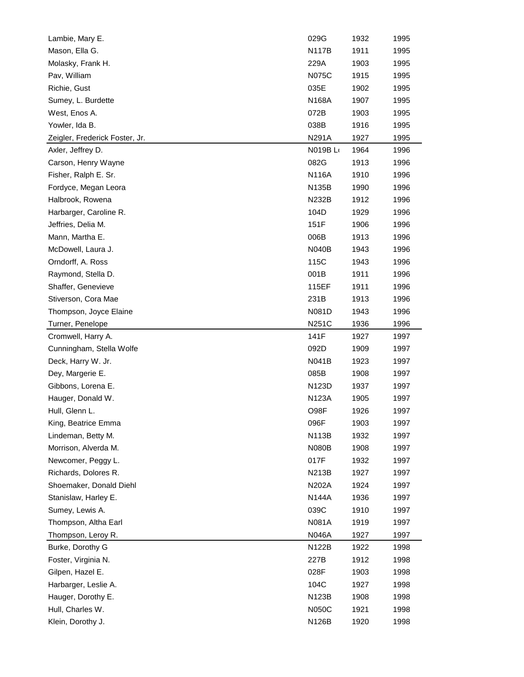| Lambie, Mary E.                | 029G         | 1932 | 1995 |
|--------------------------------|--------------|------|------|
| Mason, Ella G.                 | N117B        | 1911 | 1995 |
| Molasky, Frank H.              | 229A         | 1903 | 1995 |
| Pav, William                   | N075C        | 1915 | 1995 |
| Richie, Gust                   | 035E         | 1902 | 1995 |
| Sumey, L. Burdette             | N168A        | 1907 | 1995 |
| West, Enos A.                  | 072B         | 1903 | 1995 |
| Yowler, Ida B.                 | 038B         | 1916 | 1995 |
| Zeigler, Frederick Foster, Jr. | N291A        | 1927 | 1995 |
| Axler, Jeffrey D.              | N019B L      | 1964 | 1996 |
| Carson, Henry Wayne            | 082G         | 1913 | 1996 |
| Fisher, Ralph E. Sr.           | N116A        | 1910 | 1996 |
| Fordyce, Megan Leora           | N135B        | 1990 | 1996 |
| Halbrook, Rowena               | <b>N232B</b> | 1912 | 1996 |
| Harbarger, Caroline R.         | 104D         | 1929 | 1996 |
| Jeffries, Delia M.             | 151F         | 1906 | 1996 |
| Mann, Martha E.                | 006B         | 1913 | 1996 |
| McDowell, Laura J.             | <b>N040B</b> | 1943 | 1996 |
| Orndorff, A. Ross              | 115C         | 1943 | 1996 |
| Raymond, Stella D.             | 001B         | 1911 | 1996 |
| Shaffer, Genevieve             | 115EF        | 1911 | 1996 |
| Stiverson, Cora Mae            | 231B         | 1913 | 1996 |
| Thompson, Joyce Elaine         | N081D        | 1943 | 1996 |
| Turner, Penelope               | N251C        | 1936 | 1996 |
| Cromwell, Harry A.             | 141F         | 1927 | 1997 |
| Cunningham, Stella Wolfe       | 092D         | 1909 | 1997 |
| Deck, Harry W. Jr.             | N041B        | 1923 | 1997 |
| Dey, Margerie E.               | 085B         | 1908 | 1997 |
| Gibbons, Lorena E.             | N123D        | 1937 | 1997 |
| Hauger, Donald W.              | N123A        | 1905 | 1997 |
| Hull, Glenn L.                 | O98F         | 1926 | 1997 |
| King, Beatrice Emma            | 096F         | 1903 | 1997 |
| Lindeman, Betty M.             | N113B        | 1932 | 1997 |
| Morrison, Alverda M.           | <b>N080B</b> | 1908 | 1997 |
| Newcomer, Peggy L.             | 017F         | 1932 | 1997 |
| Richards, Dolores R.           | N213B        | 1927 | 1997 |
| Shoemaker, Donald Diehl        | N202A        | 1924 | 1997 |
| Stanislaw, Harley E.           | <b>N144A</b> | 1936 | 1997 |
| Sumey, Lewis A.                | 039C         | 1910 | 1997 |
| Thompson, Altha Earl           | N081A        | 1919 | 1997 |
| Thompson, Leroy R.             | N046A        | 1927 | 1997 |
| Burke, Dorothy G               | N122B        | 1922 | 1998 |
| Foster, Virginia N.            | 227B         | 1912 | 1998 |
| Gilpen, Hazel E.               | 028F         | 1903 | 1998 |
| Harbarger, Leslie A.           | 104C         | 1927 | 1998 |
| Hauger, Dorothy E.             | <b>N123B</b> | 1908 | 1998 |
| Hull, Charles W.               | N050C        | 1921 | 1998 |
| Klein, Dorothy J.              | N126B        | 1920 | 1998 |
|                                |              |      |      |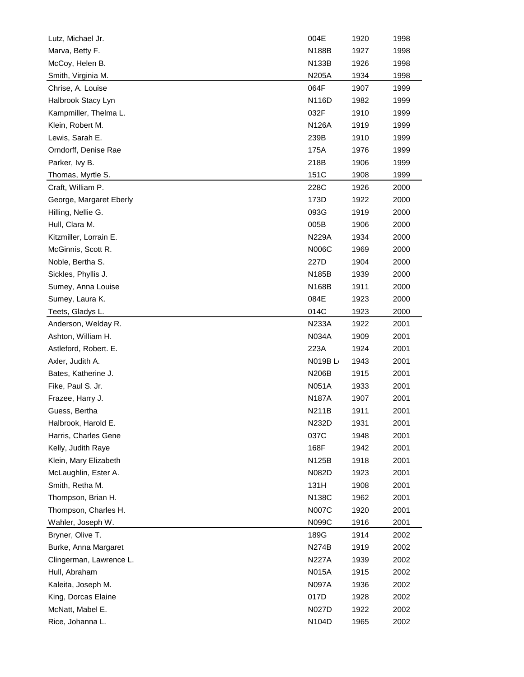| Lutz, Michael Jr.       | 004E         | 1920 | 1998 |
|-------------------------|--------------|------|------|
| Marva, Betty F.         | N188B        | 1927 | 1998 |
| McCoy, Helen B.         | N133B        | 1926 | 1998 |
| Smith, Virginia M.      | N205A        | 1934 | 1998 |
| Chrise, A. Louise       | 064F         | 1907 | 1999 |
| Halbrook Stacy Lyn      | N116D        | 1982 | 1999 |
| Kampmiller, Thelma L.   | 032F         | 1910 | 1999 |
| Klein, Robert M.        | N126A        | 1919 | 1999 |
| Lewis, Sarah E.         | 239B         | 1910 | 1999 |
| Orndorff, Denise Rae    | 175A         | 1976 | 1999 |
| Parker, Ivy B.          | 218B         | 1906 | 1999 |
| Thomas, Myrtle S.       | 151C         | 1908 | 1999 |
| Craft, William P.       | 228C         | 1926 | 2000 |
| George, Margaret Eberly | 173D         | 1922 | 2000 |
| Hilling, Nellie G.      | 093G         | 1919 | 2000 |
| Hull, Clara M.          | 005B         | 1906 | 2000 |
| Kitzmiller, Lorrain E.  | <b>N229A</b> | 1934 | 2000 |
| McGinnis, Scott R.      | N006C        | 1969 | 2000 |
| Noble, Bertha S.        | 227D         | 1904 | 2000 |
| Sickles, Phyllis J.     | N185B        | 1939 | 2000 |
| Sumey, Anna Louise      | N168B        | 1911 | 2000 |
| Sumey, Laura K.         | 084E         | 1923 | 2000 |
| Teets, Gladys L.        | 014C         | 1923 | 2000 |
| Anderson, Welday R.     | N233A        | 1922 | 2001 |
| Ashton, William H.      | <b>N034A</b> | 1909 | 2001 |
| Astleford, Robert. E.   | 223A         | 1924 | 2001 |
| Axler, Judith A.        | N019B L      | 1943 | 2001 |
| Bates, Katherine J.     | <b>N206B</b> | 1915 | 2001 |
| Fike, Paul S. Jr.       | <b>N051A</b> | 1933 | 2001 |
| Frazee, Harry J.        | <b>N187A</b> | 1907 | 2001 |
| Guess, Bertha           | N211B        | 1911 | 2001 |
| Halbrook, Harold E.     | N232D        | 1931 | 2001 |
| Harris, Charles Gene    | 037C         | 1948 | 2001 |
| Kelly, Judith Raye      | 168F         | 1942 | 2001 |
| Klein, Mary Elizabeth   | N125B        | 1918 | 2001 |
| McLaughlin, Ester A.    | N082D        | 1923 | 2001 |
| Smith, Retha M.         | 131H         | 1908 | 2001 |
| Thompson, Brian H.      | N138C        | 1962 | 2001 |
| Thompson, Charles H.    | N007C        | 1920 | 2001 |
| Wahler, Joseph W.       | N099C        | 1916 | 2001 |
| Bryner, Olive T.        | 189G         | 1914 | 2002 |
| Burke, Anna Margaret    | N274B        | 1919 | 2002 |
| Clingerman, Lawrence L. | <b>N227A</b> | 1939 | 2002 |
| Hull, Abraham           | N015A        | 1915 | 2002 |
| Kaleita, Joseph M.      | N097A        | 1936 | 2002 |
| King, Dorcas Elaine     | 017D         | 1928 | 2002 |
| McNatt, Mabel E.        | N027D        | 1922 | 2002 |
| Rice, Johanna L.        | N104D        | 1965 | 2002 |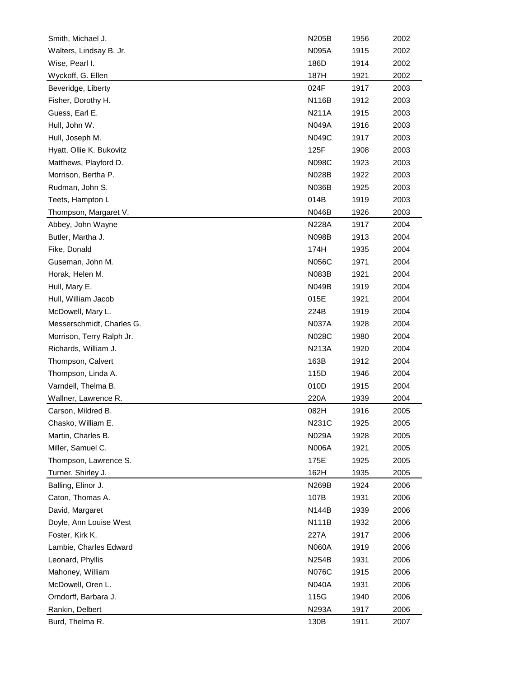| Smith, Michael J.         | N205B        | 1956 | 2002 |
|---------------------------|--------------|------|------|
| Walters, Lindsay B. Jr.   | <b>N095A</b> | 1915 | 2002 |
| Wise, Pearl I.            | 186D         | 1914 | 2002 |
| Wyckoff, G. Ellen         | 187H         | 1921 | 2002 |
| Beveridge, Liberty        | 024F         | 1917 | 2003 |
| Fisher, Dorothy H.        | N116B        | 1912 | 2003 |
| Guess, Earl E.            | <b>N211A</b> | 1915 | 2003 |
| Hull, John W.             | <b>N049A</b> | 1916 | 2003 |
| Hull, Joseph M.           | N049C        | 1917 | 2003 |
| Hyatt, Ollie K. Bukovitz  | 125F         | 1908 | 2003 |
| Matthews, Playford D.     | N098C        | 1923 | 2003 |
| Morrison, Bertha P.       | N028B        | 1922 | 2003 |
| Rudman, John S.           | N036B        | 1925 | 2003 |
| Teets, Hampton L          | 014B         | 1919 | 2003 |
| Thompson, Margaret V.     | N046B        | 1926 | 2003 |
| Abbey, John Wayne         | N228A        | 1917 | 2004 |
| Butler, Martha J.         | <b>N098B</b> | 1913 | 2004 |
| Fike, Donald              | 174H         | 1935 | 2004 |
| Guseman, John M.          | N056C        | 1971 | 2004 |
| Horak, Helen M.           | <b>N083B</b> | 1921 | 2004 |
| Hull, Mary E.             | N049B        | 1919 | 2004 |
| Hull, William Jacob       | 015E         | 1921 | 2004 |
| McDowell, Mary L.         | 224B         | 1919 | 2004 |
| Messerschmidt, Charles G. | <b>N037A</b> | 1928 | 2004 |
| Morrison, Terry Ralph Jr. | N028C        | 1980 | 2004 |
| Richards, William J.      | N213A        | 1920 | 2004 |
| Thompson, Calvert         | 163B         | 1912 | 2004 |
| Thompson, Linda A.        | 115D         | 1946 | 2004 |
| Varndell, Thelma B.       | 010D         | 1915 | 2004 |
| Wallner, Lawrence R.      | 220A         | 1939 | 2004 |
| Carson, Mildred B.        | 082H         | 1916 | 2005 |
| Chasko, William E.        | N231C        | 1925 | 2005 |
| Martin, Charles B.        | N029A        | 1928 | 2005 |
| Miller, Samuel C.         | <b>N006A</b> | 1921 | 2005 |
| Thompson, Lawrence S.     | 175E         | 1925 | 2005 |
| Turner, Shirley J.        | 162H         | 1935 | 2005 |
| Balling, Elinor J.        | N269B        | 1924 | 2006 |
| Caton, Thomas A.          | 107B         | 1931 | 2006 |
| David, Margaret           | N144B        | 1939 | 2006 |
| Doyle, Ann Louise West    | <b>N111B</b> | 1932 | 2006 |
| Foster, Kirk K.           | 227A         | 1917 | 2006 |
| Lambie, Charles Edward    | <b>N060A</b> | 1919 | 2006 |
| Leonard, Phyllis          | N254B        | 1931 | 2006 |
| Mahoney, William          | N076C        | 1915 | 2006 |
| McDowell, Oren L.         | N040A        | 1931 | 2006 |
| Orndorff, Barbara J.      | 115G         | 1940 | 2006 |
| Rankin, Delbert           | N293A        | 1917 | 2006 |
| Burd, Thelma R.           | 130B         | 1911 | 2007 |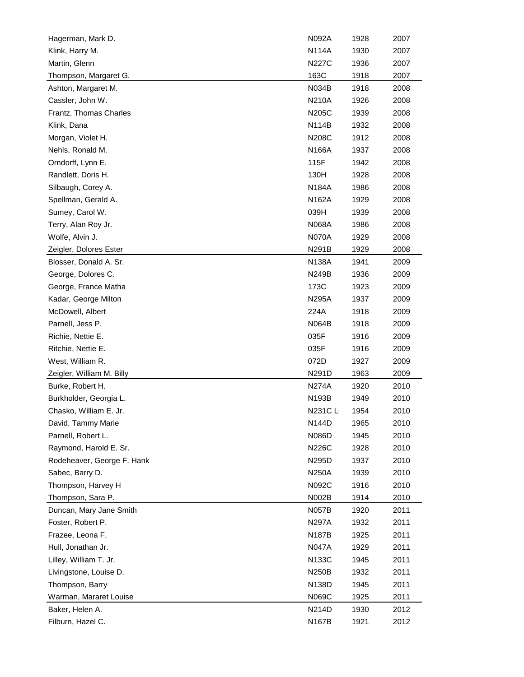| Hagerman, Mark D.          | N092A        | 1928 | 2007 |
|----------------------------|--------------|------|------|
| Klink, Harry M.            | <b>N114A</b> | 1930 | 2007 |
| Martin, Glenn              | N227C        | 1936 | 2007 |
| Thompson, Margaret G.      | 163C         | 1918 | 2007 |
| Ashton, Margaret M.        | N034B        | 1918 | 2008 |
| Cassler, John W.           | N210A        | 1926 | 2008 |
| Frantz, Thomas Charles     | N205C        | 1939 | 2008 |
| Klink, Dana                | N114B        | 1932 | 2008 |
| Morgan, Violet H.          | N208C        | 1912 | 2008 |
| Nehls, Ronald M.           | N166A        | 1937 | 2008 |
| Orndorff, Lynn E.          | 115F         | 1942 | 2008 |
| Randlett, Doris H.         | 130H         | 1928 | 2008 |
| Silbaugh, Corey A.         | N184A        | 1986 | 2008 |
| Spellman, Gerald A.        | N162A        | 1929 | 2008 |
| Sumey, Carol W.            | 039H         | 1939 | 2008 |
| Terry, Alan Roy Jr.        | N068A        | 1986 | 2008 |
| Wolfe, Alvin J.            | <b>N070A</b> | 1929 | 2008 |
| Zeigler, Dolores Ester     | N291B        | 1929 | 2008 |
| Blosser, Donald A. Sr.     | <b>N138A</b> | 1941 | 2009 |
| George, Dolores C.         | N249B        | 1936 | 2009 |
| George, France Matha       | 173C         | 1923 | 2009 |
| Kadar, George Milton       | <b>N295A</b> | 1937 | 2009 |
| McDowell, Albert           | 224A         | 1918 | 2009 |
| Parnell, Jess P.           | N064B        | 1918 | 2009 |
| Richie, Nettie E.          | 035F         | 1916 | 2009 |
| Ritchie, Nettie E.         | 035F         | 1916 | 2009 |
| West, William R.           | 072D         | 1927 | 2009 |
| Zeigler, William M. Billy  | N291D        | 1963 | 2009 |
| Burke, Robert H.           | <b>N274A</b> | 1920 | 2010 |
| Burkholder, Georgia L.     | N193B        | 1949 | 2010 |
| Chasko, William E. Jr.     | N231C L      | 1954 | 2010 |
| David, Tammy Marie         | N144D        | 1965 | 2010 |
| Parnell, Robert L.         | N086D        | 1945 | 2010 |
| Raymond, Harold E. Sr.     | N226C        | 1928 | 2010 |
| Rodeheaver, George F. Hank | N295D        | 1937 | 2010 |
| Sabec, Barry D.            | <b>N250A</b> | 1939 | 2010 |
| Thompson, Harvey H         | N092C        | 1916 | 2010 |
| Thompson, Sara P.          | N002B        | 1914 | 2010 |
| Duncan, Mary Jane Smith    | N057B        | 1920 | 2011 |
| Foster, Robert P.          | N297A        | 1932 | 2011 |
| Frazee, Leona F.           | N187B        | 1925 | 2011 |
| Hull, Jonathan Jr.         | <b>N047A</b> | 1929 | 2011 |
| Lilley, William T. Jr.     | <b>N133C</b> | 1945 | 2011 |
| Livingstone, Louise D.     | N250B        | 1932 | 2011 |
| Thompson, Barry            | N138D        | 1945 | 2011 |
| Warman, Mararet Louise     | N069C        | 1925 | 2011 |
| Baker, Helen A.            | N214D        | 1930 | 2012 |
| Filburn, Hazel C.          | N167B        | 1921 | 2012 |
|                            |              |      |      |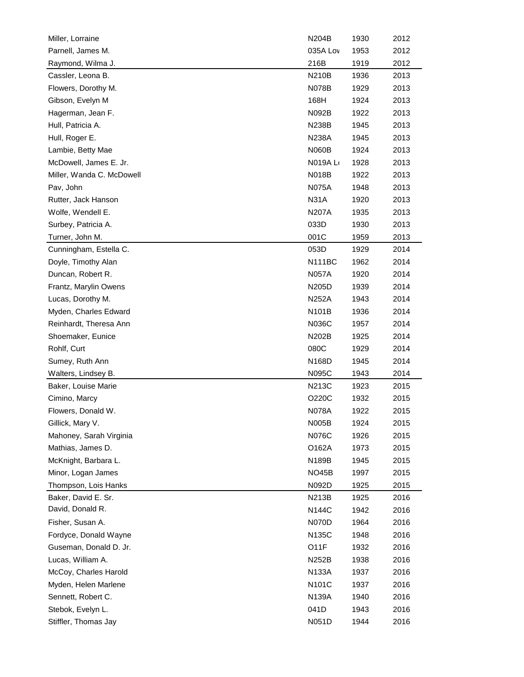| Miller, Lorraine          | N204B              | 1930 | 2012 |
|---------------------------|--------------------|------|------|
| Parnell, James M.         | 035A Lov           | 1953 | 2012 |
| Raymond, Wilma J.         | 216B               | 1919 | 2012 |
| Cassler, Leona B.         | <b>N210B</b>       | 1936 | 2013 |
| Flowers, Dorothy M.       | N078B              | 1929 | 2013 |
| Gibson, Evelyn M          | 168H               | 1924 | 2013 |
| Hagerman, Jean F.         | N092B              | 1922 | 2013 |
| Hull, Patricia A.         | N238B              | 1945 | 2013 |
| Hull, Roger E.            | N238A              | 1945 | 2013 |
| Lambie, Betty Mae         | <b>N060B</b>       | 1924 | 2013 |
| McDowell, James E. Jr.    | N019A L            | 1928 | 2013 |
| Miller, Wanda C. McDowell | <b>N018B</b>       | 1922 | 2013 |
| Pav, John                 | <b>N075A</b>       | 1948 | 2013 |
| Rutter, Jack Hanson       | <b>N31A</b>        | 1920 | 2013 |
| Wolfe, Wendell E.         | <b>N207A</b>       | 1935 | 2013 |
| Surbey, Patricia A.       | 033D               | 1930 | 2013 |
| Turner, John M.           | 001C               | 1959 | 2013 |
| Cunningham, Estella C.    | 053D               | 1929 | 2014 |
| Doyle, Timothy Alan       | <b>N111BC</b>      | 1962 | 2014 |
| Duncan, Robert R.         | <b>N057A</b>       | 1920 | 2014 |
| Frantz, Marylin Owens     | N205D              | 1939 | 2014 |
| Lucas, Dorothy M.         | <b>N252A</b>       | 1943 | 2014 |
| Myden, Charles Edward     | N <sub>101</sub> B | 1936 | 2014 |
| Reinhardt, Theresa Ann    | N036C              | 1957 | 2014 |
| Shoemaker, Eunice         | N202B              | 1925 | 2014 |
| Rohlf, Curt               | 080C               | 1929 | 2014 |
| Sumey, Ruth Ann           | N168D              | 1945 | 2014 |
| Walters, Lindsey B.       | N095C              | 1943 | 2014 |
| Baker, Louise Marie       | N213C              | 1923 | 2015 |
| Cimino, Marcy             | O220C              | 1932 | 2015 |
| Flowers, Donald W.        | <b>N078A</b>       | 1922 | 2015 |
| Gillick, Mary V.          | N005B              | 1924 | 2015 |
| Mahoney, Sarah Virginia   | <b>N076C</b>       | 1926 | 2015 |
| Mathias, James D.         | O162A              | 1973 | 2015 |
| McKnight, Barbara L.      | N189B              | 1945 | 2015 |
| Minor, Logan James        | NO45B              | 1997 | 2015 |
| Thompson, Lois Hanks      | N092D              | 1925 | 2015 |
| Baker, David E. Sr.       | N213B              | 1925 | 2016 |
| David, Donald R.          | <b>N144C</b>       | 1942 | 2016 |
| Fisher, Susan A.          | <b>N070D</b>       | 1964 | 2016 |
| Fordyce, Donald Wayne     | N135C              | 1948 | 2016 |
| Guseman, Donald D. Jr.    | 011F               | 1932 | 2016 |
| Lucas, William A.         | N252B              | 1938 | 2016 |
| McCoy, Charles Harold     | N133A              | 1937 | 2016 |
| Myden, Helen Marlene      | N101C              | 1937 | 2016 |
| Sennett, Robert C.        | N139A              | 1940 | 2016 |
|                           |                    |      |      |
| Stebok, Evelyn L.         | 041D               | 1943 | 2016 |
| Stiffler, Thomas Jay      | N051D              | 1944 | 2016 |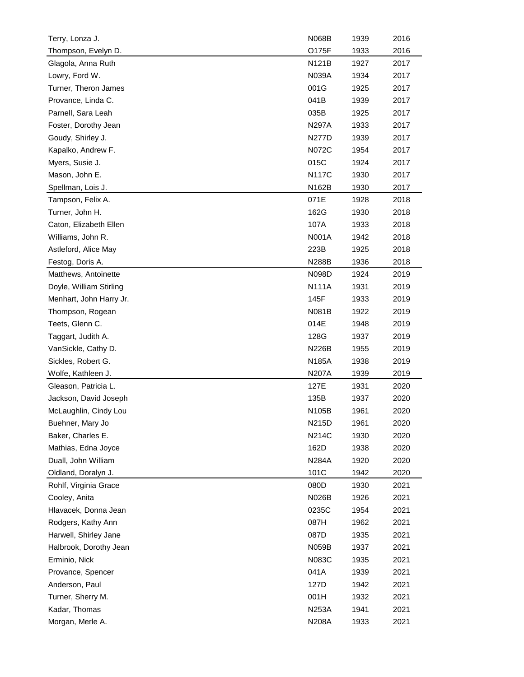| Terry, Lonza J.         | <b>N068B</b> | 1939 | 2016 |
|-------------------------|--------------|------|------|
| Thompson, Evelyn D.     | O175F        | 1933 | 2016 |
| Glagola, Anna Ruth      | <b>N121B</b> | 1927 | 2017 |
| Lowry, Ford W.          | <b>N039A</b> | 1934 | 2017 |
| Turner, Theron James    | 001G         | 1925 | 2017 |
| Provance, Linda C.      | 041B         | 1939 | 2017 |
| Parnell, Sara Leah      | 035B         | 1925 | 2017 |
| Foster, Dorothy Jean    | <b>N297A</b> | 1933 | 2017 |
| Goudy, Shirley J.       | <b>N277D</b> | 1939 | 2017 |
| Kapalko, Andrew F.      | N072C        | 1954 | 2017 |
| Myers, Susie J.         | 015C         | 1924 | 2017 |
| Mason, John E.          | <b>N117C</b> | 1930 | 2017 |
| Spellman, Lois J.       | N162B        | 1930 | 2017 |
| Tampson, Felix A.       | 071E         | 1928 | 2018 |
| Turner, John H.         | 162G         | 1930 | 2018 |
| Caton, Elizabeth Ellen  | 107A         | 1933 | 2018 |
| Williams, John R.       | N001A        | 1942 | 2018 |
| Astleford, Alice May    | 223B         | 1925 | 2018 |
| Festog, Doris A.        | N288B        | 1936 | 2018 |
| Matthews, Antoinette    | N098D        | 1924 | 2019 |
| Doyle, William Stirling | <b>N111A</b> | 1931 | 2019 |
| Menhart, John Harry Jr. | 145F         | 1933 | 2019 |
| Thompson, Rogean        | N081B        | 1922 | 2019 |
| Teets, Glenn C.         | 014E         | 1948 | 2019 |
| Taggart, Judith A.      | 128G         | 1937 | 2019 |
| VanSickle, Cathy D.     | N226B        | 1955 | 2019 |
| Sickles, Robert G.      | N185A        | 1938 | 2019 |
| Wolfe, Kathleen J.      | N207A        | 1939 | 2019 |
| Gleason, Patricia L.    | 127E         | 1931 | 2020 |
| Jackson, David Joseph   | 135B         | 1937 | 2020 |
| McLaughlin, Cindy Lou   | N105B        | 1961 | 2020 |
|                         |              |      |      |
| Buehner, Mary Jo        | N215D        | 1961 | 2020 |
| Baker, Charles E.       | <b>N214C</b> | 1930 | 2020 |
| Mathias, Edna Joyce     | 162D         | 1938 | 2020 |
| Duall, John William     | <b>N284A</b> | 1920 | 2020 |
| Oldland, Doralyn J.     | 101C         | 1942 | 2020 |
| Rohlf, Virginia Grace   | 080D         | 1930 | 2021 |
| Cooley, Anita           | <b>N026B</b> | 1926 | 2021 |
| Hlavacek, Donna Jean    | 0235C        | 1954 | 2021 |
| Rodgers, Kathy Ann      | 087H         | 1962 | 2021 |
| Harwell, Shirley Jane   | 087D         | 1935 | 2021 |
| Halbrook, Dorothy Jean  | N059B        | 1937 | 2021 |
| Erminio, Nick           | N083C        | 1935 | 2021 |
| Provance, Spencer       | 041A         | 1939 | 2021 |
| Anderson, Paul          | 127D         | 1942 | 2021 |
| Turner, Sherry M.       | 001H         | 1932 | 2021 |
| Kadar, Thomas           | N253A        | 1941 | 2021 |
| Morgan, Merle A.        | <b>N208A</b> | 1933 | 2021 |